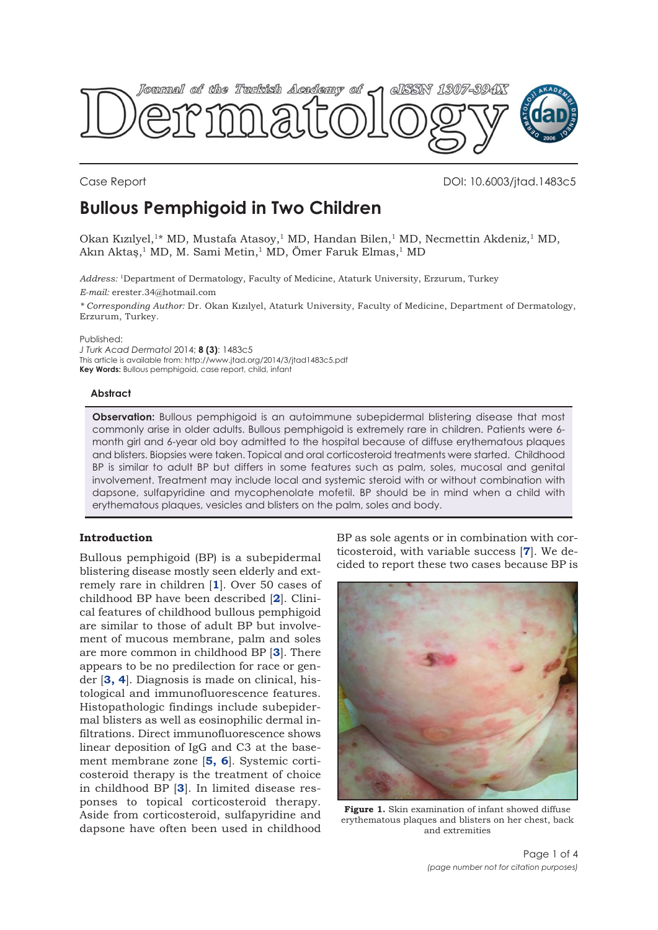<span id="page-0-0"></span>

Case Report DOI: 10.6003/jtad.1483c5

# **Bullous Pemphigoid in Two Children**

Okan Kızılyel,<sup>1\*</sup> MD, Mustafa Atasoy,<sup>1</sup> MD, Handan Bilen,<sup>1</sup> MD, Necmettin Akdeniz,<sup>1</sup> MD, Akın Aktaş,<sup>1</sup> MD, M. Sami Metin,<sup>1</sup> MD, Ömer Faruk Elmas,<sup>1</sup> MD

*Address:* 1Department of Dermatology, Faculty of Medicine, Ataturk University, Erzurum, Turkey *E-mail:* erester.34@hotmail.com

*\* Corresponding Author:* Dr. Okan Kızılyel, Ataturk University, Faculty of Medicine, Department of Dermatology, Erzurum, Turkey.

Published:

*J Turk Acad Dermatol* 2014; **8 (3)**: 1483c5 This article is available from: http://www.jtad.org/2014/3/jtad1483c5.pdf **Key Words:** Bullous pemphigoid, case report, child, infant

# **Abstract**

**Observation:** Bullous pemphigoid is an autoimmune subepidermal blistering disease that most commonly arise in older adults. Bullous pemphigoid is extremely rare in children. Patients were 6 month girl and 6-year old boy admitted to the hospital because of diffuse erythematous plaques and blisters. Biopsies were taken. Topical and oral corticosteroid treatments were started. Childhood BP is similar to adult BP but differs in some features such as palm, soles, mucosal and genital involvement. Treatment may include local and systemic steroid with or without combination with dapsone, sulfapyridine and mycophenolate mofetil. BP should be in mind when a child with erythematous plaques, vesicles and blisters on the palm, soles and body.

# **Introduction**

Bullous pemphigoid (BP) is a subepidermal blistering disease mostly seen elderly and extremely rare in children [**[1](#page-2-0)**]. Over 50 cases of childhood BP have been described [**[2](#page-2-0)**]. Clinical features of childhood bullous pemphigoid are similar to those of adult BP but involvement of mucous membrane, palm and soles are more common in childhood BP [**[3](#page-2-0)**]. There appears to be no predilection for race or gender [**[3,](#page-3-0) [4](#page-2-0)**]. Diagnosis is made on clinical, histological and immunofluorescence features. Histopathologic findings include subepidermal blisters as well as eosinophilic dermal infiltrations. Direct immunofluorescence shows linear deposition of IgG and C3 at the basement membrane zone [**[5,](#page-2-0) [6](#page-2-0)**]. Systemic corticosteroid therapy is the treatment of choice in childhood BP [**[3](#page-2-0)**]. In limited disease responses to topical corticosteroid therapy. Aside from corticosteroid, sulfapyridine and dapsone have often been used in childhood BP as sole agents or in combination with corticosteroid, with variable success [**[7](#page-3-0)**]. We decided to report these two cases because BP is



**Figure 1.** Skin examination of infant showed diffuse erythematous plaques and blisters on her chest, back and extremities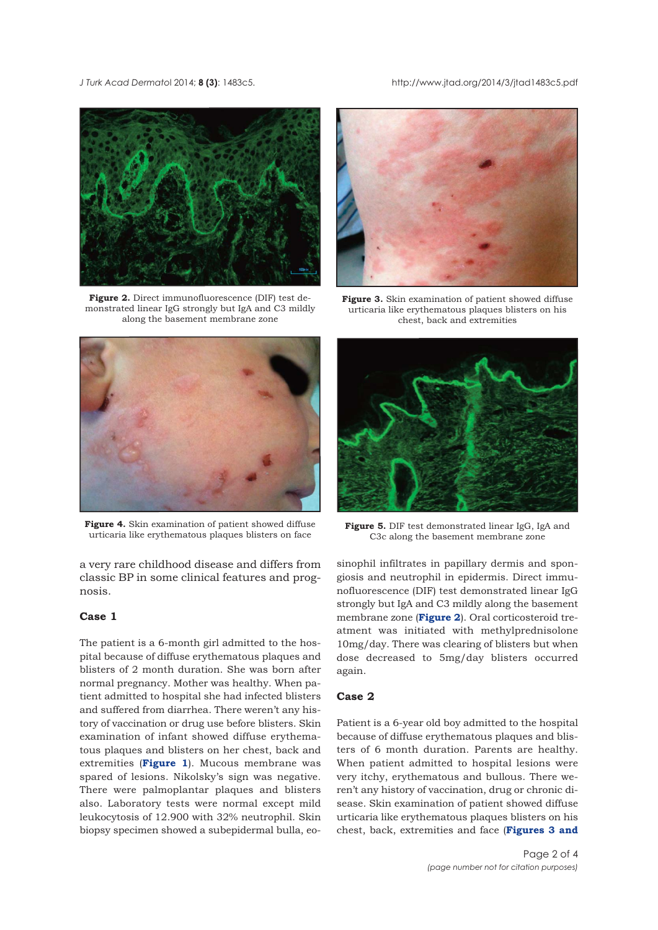<span id="page-1-0"></span>*J Turk Acad Dermato*l 2014; **8 (3)**: 1483c5. http://www.jtad.org/2014/3/jtad1483c5.pdf



**Figure 2.** Direct immunofluorescence (DIF) test demonstrated linear IgG strongly but IgA and C3 mildly along the basement membrane zone



**Figure 4.** Skin examination of patient showed diffuse urticaria like erythematous plaques blisters on face

a very rare childhood disease and differs from classic BP in some clinical features and prognosis.

#### **Case 1**

The patient is a 6-month girl admitted to the hospital because of diffuse erythematous plaques and blisters of 2 month duration. She was born after normal pregnancy. Mother was healthy. When patient admitted to hospital she had infected blisters and suffered from diarrhea. There weren't any history of vaccination or drug use before blisters. Skin examination of infant showed diffuse erythematous plaques and blisters on her chest, back and extremities (**[Figure 1](#page-0-0)**). Mucous membrane was spared of lesions. Nikolsky's sign was negative. There were palmoplantar plaques and blisters also. Laboratory tests were normal except mild leukocytosis of 12.900 with 32% neutrophil. Skin biopsy specimen showed a subepidermal bulla, eo-



**Figure 3.** Skin examination of patient showed diffuse urticaria like erythematous plaques blisters on his chest, back and extremities



**Figure 5.** DIF test demonstrated linear IgG, IgA and C3c along the basement membrane zone

sinophil infiltrates in papillary dermis and spongiosis and neutrophil in epidermis. Direct immunofluorescence (DIF) test demonstrated linear IgG strongly but IgA and C3 mildly along the basement membrane zone (**Figure 2**). Oral corticosteroid treatment was initiated with methylprednisolone 10mg/day. There was clearing of blisters but when dose decreased to 5mg/day blisters occurred again.

# **Case 2**

Patient is a 6-year old boy admitted to the hospital because of diffuse erythematous plaques and blisters of 6 month duration. Parents are healthy. When patient admitted to hospital lesions were very itchy, erythematous and bullous. There weren't any history of vaccination, drug or chronic disease. Skin examination of patient showed diffuse urticaria like erythematous plaques blisters on his chest, back, extremities and face (**Figures 3 and**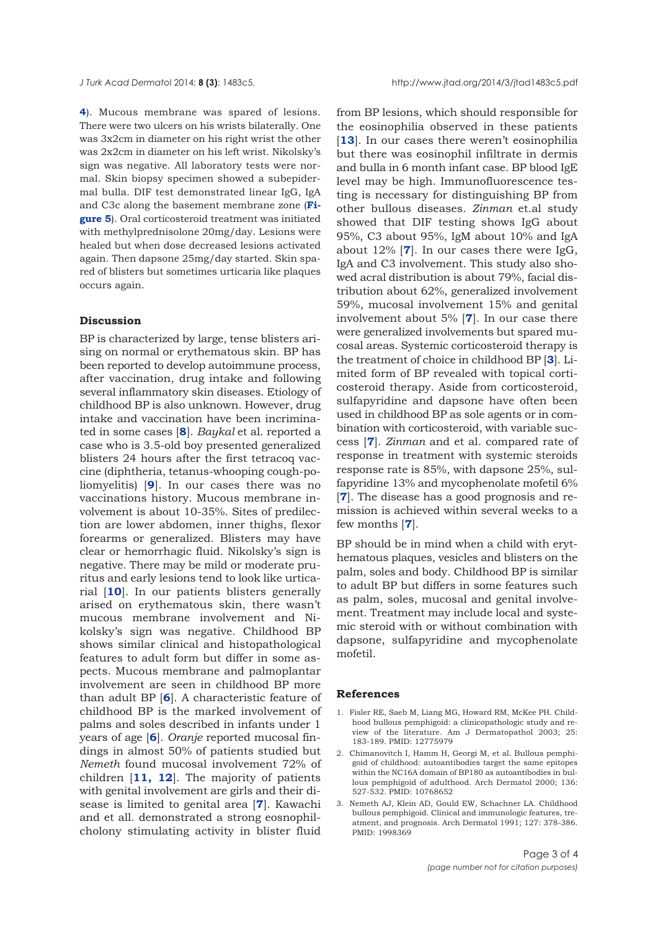<span id="page-2-0"></span>**[4](#page-1-0)**). Mucous membrane was spared of lesions. There were two ulcers on his wrists bilaterally. One was 3x2cm in diameter on his right wrist the other was 2x2cm in diameter on his left wrist. Nikolsky's sign was negative. All laboratory tests were normal. Skin biopsy specimen showed a subepidermal bulla. DIF test demonstrated linear IgG, IgA [and C3c along the basement membrane zone \(](#page-1-0)**Figure 5**). Oral corticosteroid treatment was initiated with methylprednisolone 20mg/day. Lesions were healed but when dose decreased lesions activated again. Then dapsone 25mg/day started. Skin spared of blisters but sometimes urticaria like plaques occurs again.

#### **Discussion**

BP is characterized by large, tense blisters arising on normal or erythematous skin. BP has been reported to develop autoimmune process, after vaccination, drug intake and following several inflammatory skin diseases. Etiology of childhood BP is also unknown. However, drug intake and vaccination have been incriminated in some cases [**[8](#page-3-0)**]. *Baykal* et al. reported a case who is 3.5-old boy presented generalized blisters 24 hours after the first tetracoq vaccine (diphtheria, tetanus-whooping cough-poliomyelitis) [**[9](#page-3-0)**]. In our cases there was no vaccinations history. Mucous membrane involvement is about 10-35%. Sites of predilection are lower abdomen, inner thighs, flexor forearms or generalized. Blisters may have clear or hemorrhagic fluid. Nikolsky's sign is negative. There may be mild or moderate pruritus and early lesions tend to look like urticarial [**[10](#page-3-0)**]. In our patients blisters generally arised on erythematous skin, there wasn't mucous membrane involvement and Nikolsky's sign was negative. Childhood BP shows similar clinical and histopathological features to adult form but differ in some aspects. Mucous membrane and palmoplantar involvement are seen in childhood BP more than adult BP [**[6](#page-3-0)**]. A characteristic feature of childhood BP is the marked involvement of palms and soles described in infants under 1 years of age [**[6](#page-3-0)**]. *Oranje* reported mucosal findings in almost 50% of patients studied but *Nemeth* found mucosal involvement 72% of children [**[11,](#page-3-0) [12](#page-3-0)**]. The majority of patients with genital involvement are girls and their disease is limited to genital area [**[7](#page-3-0)**]. Kawachi and et all. demonstrated a strong eosnophilcholony stimulating activity in blister fluid

from BP lesions, which should responsible for the eosinophilia observed in these patients [[13](#page-3-0)]. In our cases there weren't eosinophilia but there was eosinophil infiltrate in dermis and bulla in 6 month infant case. BP blood IgE level may be high. Immunofluorescence testing is necessary for distinguishing BP from other bullous diseases. *Zinman* et.al study showed that DIF testing shows IgG about 95%, C3 about 95%, IgM about 10% and IgA about 12% [**[7](#page-3-0)**]. In our cases there were IgG, IgA and C3 involvement. This study also showed acral distribution is about 79%, facial distribution about 62%, generalized involvement 59%, mucosal involvement 15% and genital involvement about 5% [**[7](#page-3-0)**]. In our case there were generalized involvements but spared mucosal areas. Systemic corticosteroid therapy is the treatment of choice in childhood BP [**3**]. Limited form of BP revealed with topical corticosteroid therapy. Aside from corticosteroid, sulfapyridine and dapsone have often been used in childhood BP as sole agents or in combination with corticosteroid, with variable success [**[7](#page-3-0)**]. *Zinman* and et al. compared rate of response in treatment with systemic steroids response rate is 85%, with dapsone 25%, sulfapyridine 13% and mycophenolate mofetil 6% [**[7](#page-3-0)**]. The disease has a good prognosis and remission is achieved within several weeks to a few months [**[7](#page-3-0)**].

BP should be in mind when a child with erythematous plaques, vesicles and blisters on the palm, soles and body. Childhood BP is similar to adult BP but differs in some features such as palm, soles, mucosal and genital involvement. Treatment may include local and systemic steroid with or without combination with dapsone, sulfapyridine and mycophenolate mofetil.

### **References**

- 1. Fisler RE, Saeb M, Liang MG, Howard RM, McKee PH. Childhood bullous pemphigoid: a clinicopathologic study and review of the literature. Am J Dermatopathol 2003; 25: 183-189. PMID: 12775979
- 2. Chimanovitch I, Hamm H, Georgi M, et al. Bullous pemphigoid of childhood: autoantibodies target the same epitopes within the NC16A domain of BP180 as autoantibodies in bullous pemphigoid of adulthood. Arch Dermatol 2000; 136: 527-532. PMID: 10768652
- 3. Nemeth AJ, Klein AD, Gould EW, Schachner LA. Childhood bullous pemphigoid. Clinical and immunologic features, treatment, and prognosis. Arch Dermatol 1991; 127: 378-386. PMID: 1998369